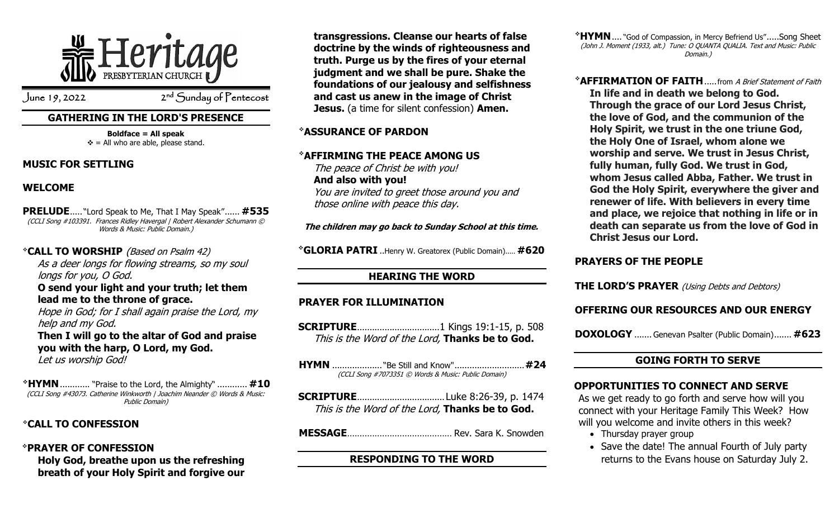

 $J$ une 19, 2022

<sup>nd</sup> Sunday of Pentecost

## **GATHERING IN THE LORD'S PRESENCE**

**Boldface = All speak**  $\mathbf{\hat{v}}$  = All who are able, please stand.

#### **MUSIC FOR SETTLING**

## **WELCOME**

**PRELUDE**..... "Lord Speak to Me, That I May Speak"...... **#535** (CCLI Song #103391. Frances Ridley Havergal | Robert Alexander Schumann © Words & Music: Public Domain.)

❖**CALL TO WORSHIP** (Based on Psalm 42) As a deer longs for flowing streams, so my soul longs for you, O God. **O send your light and your truth; let them lead me to the throne of grace.** Hope in God; for I shall again praise the Lord, my help and my God. **Then I will go to the altar of God and praise** 

**you with the harp, O Lord, my God.** Let us worship God!

❖**HYMN**............ "Praise to the Lord, the Almighty" ............ **#10** (CCLI Song #43073. Catherine Winkworth | Joachim Neander © Words & Music: Public Domain)

## ❖**CALL TO CONFESSION**

❖**PRAYER OF CONFESSION Holy God, breathe upon us the refreshing breath of your Holy Spirit and forgive our**  **transgressions. Cleanse our hearts of false doctrine by the winds of righteousness and truth. Purge us by the fires of your eternal judgment and we shall be pure. Shake the foundations of our jealousy and selfishness and cast us anew in the image of Christ Jesus.** (a time for silent confession) **Amen.**

## ❖**ASSURANCE OF PARDON**

## ❖**AFFIRMING THE PEACE AMONG US**

The peace of Christ be with you! **And also with you!** You are invited to greet those around you and those online with peace this day.

**The children may go back to Sunday School at this time.**

❖**GLORIA PATRI** ..Henry W. Greatorex (Public Domain)..... **#620**

# **HEARING THE WORD**

## **PRAYER FOR ILLUMINATION**

- **SCRIPTURE**.................................1 Kings 19:1-15, p. 508 This is the Word of the Lord, **Thanks be to God.**
- **HYMN** .................... "Be Still and Know"............................**#24** (CCLI Song #7073351 © Words & Music: Public Domain)
- **SCRIPTURE**................................... Luke 8:26-39, p. 1474 This is the Word of the Lord, **Thanks be to God.**

**MESSAGE**.......................................... Rev. Sara K. Snowden

## **RESPONDING TO THE WORD**

❖**HYMN**.... "God of Compassion, in Mercy Befriend Us".....Song Sheet (John J. Moment (1933, alt.) Tune: O QUANTA QUALIA. Text and Music: Public Domain.)

❖**AFFIRMATION OF FAITH**.....from A Brief Statement of Faith **In life and in death we belong to God. Through the grace of our Lord Jesus Christ, the love of God, and the communion of the Holy Spirit, we trust in the one triune God, the Holy One of Israel, whom alone we worship and serve. We trust in Jesus Christ, fully human, fully God. We trust in God, whom Jesus called Abba, Father. We trust in God the Holy Spirit, everywhere the giver and renewer of life. With believers in every time and place, we rejoice that nothing in life or in death can separate us from the love of God in Christ Jesus our Lord.**

# **PRAYERS OF THE PEOPLE**

**THE LORD'S PRAYER** (Using Debts and Debtors)

# **OFFERING OUR RESOURCES AND OUR ENERGY**

**DOXOLOGY** ....... Genevan Psalter (Public Domain)....... **#623**

## **GOING FORTH TO SERVE**

## **OPPORTUNITIES TO CONNECT AND SERVE**

As we get ready to go forth and serve how will you connect with your Heritage Family This Week? How will you welcome and invite others in this week?

- Thursday prayer group
- Save the date! The annual Fourth of July party returns to the Evans house on Saturday July 2.